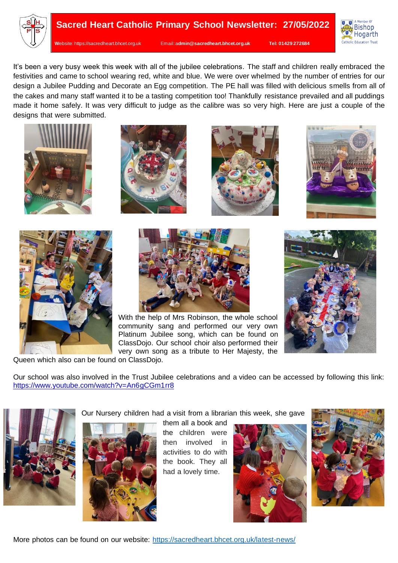



It's been a very busy week this week with all of the jubilee celebrations. The staff and children really embraced the festivities and came to school wearing red, white and blue. We were over whelmed by the number of entries for our design a Jubilee Pudding and Decorate an Egg competition. The PE hall was filled with delicious smells from all of the cakes and many staff wanted it to be a tasting competition too! Thankfully resistance prevailed and all puddings made it home safely. It was very difficult to judge as the calibre was so very high. Here are just a couple of the designs that were submitted.













With the help of Mrs Robinson, the whole school community sang and performed our very own Platinum Jubilee song, which can be found on ClassDojo. Our school choir also performed their very own song as a tribute to Her Majesty, the



Queen which also can be found on ClassDojo.

Our school was also involved in the Trust Jubilee celebrations and a video can be accessed by following this link: <https://www.youtube.com/watch?v=An6gCGm1rr8>



Our Nursery children had a visit from a librarian this week, she gave

them all a book and the children were then involved in activities to do with the book. They all had a lovely time.





More photos can be found on our website:<https://sacredheart.bhcet.org.uk/latest-news/>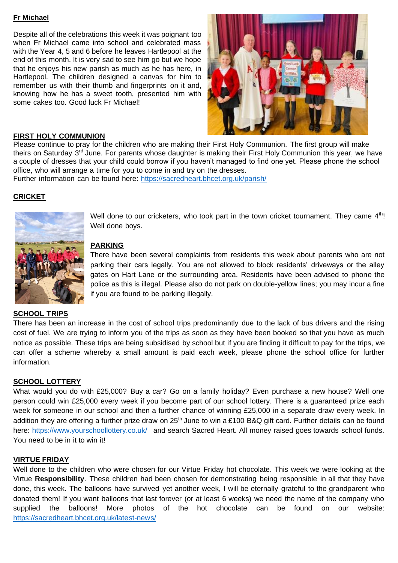## **Fr Michael**

Despite all of the celebrations this week it was poignant too when Fr Michael came into school and celebrated mass with the Year 4, 5 and 6 before he leaves Hartlepool at the end of this month. It is very sad to see him go but we hope that he enjoys his new parish as much as he has here, in Hartlepool. The children designed a canvas for him to remember us with their thumb and fingerprints on it and, knowing how he has a sweet tooth, presented him with some cakes too. Good luck Fr Michael!



## **FIRST HOLY COMMUNION**

Please continue to pray for the children who are making their First Holy Communion. The first group will make theirs on Saturday 3<sup>rd</sup> June. For parents whose daughter is making their First Holy Communion this year, we have a couple of dresses that your child could borrow if you haven't managed to find one yet. Please phone the school office, who will arrange a time for you to come in and try on the dresses.

Further information can be found here:<https://sacredheart.bhcet.org.uk/parish/>

# **CRICKET**



Well done to our cricketers, who took part in the town cricket tournament. They came  $4<sup>th</sup>!$ Well done boys.

# **PARKING**

There have been several complaints from residents this week about parents who are not parking their cars legally. You are not allowed to block residents' driveways or the alley gates on Hart Lane or the surrounding area. Residents have been advised to phone the police as this is illegal. Please also do not park on double-yellow lines; you may incur a fine if you are found to be parking illegally.

#### **SCHOOL TRIPS**

There has been an increase in the cost of school trips predominantly due to the lack of bus drivers and the rising cost of fuel. We are trying to inform you of the trips as soon as they have been booked so that you have as much notice as possible. These trips are being subsidised by school but if you are finding it difficult to pay for the trips, we can offer a scheme whereby a small amount is paid each week, please phone the school office for further information.

#### **SCHOOL LOTTERY**

What would you do with £25,000? Buy a car? Go on a family holiday? Even purchase a new house? Well one person could win £25,000 every week if you become part of our school lottery. There is a guaranteed prize each week for someone in our school and then a further chance of winning £25,000 in a separate draw every week. In addition they are offering a further prize draw on 25<sup>th</sup> June to win a £100 B&Q gift card. Further details can be found here:<https://www.yourschoollottery.co.uk/>and search Sacred Heart. All money raised goes towards school funds. You need to be in it to win it!

#### **VIRTUE FRIDAY**

Well done to the children who were chosen for our Virtue Friday hot chocolate. This week we were looking at the Virtue **Responsibility**. These children had been chosen for demonstrating being responsible in all that they have done, this week. The balloons have survived yet another week, I will be eternally grateful to the grandparent who donated them! If you want balloons that last forever (or at least 6 weeks) we need the name of the company who supplied the balloons! More photos of the hot chocolate can be found on our website: <https://sacredheart.bhcet.org.uk/latest-news/>